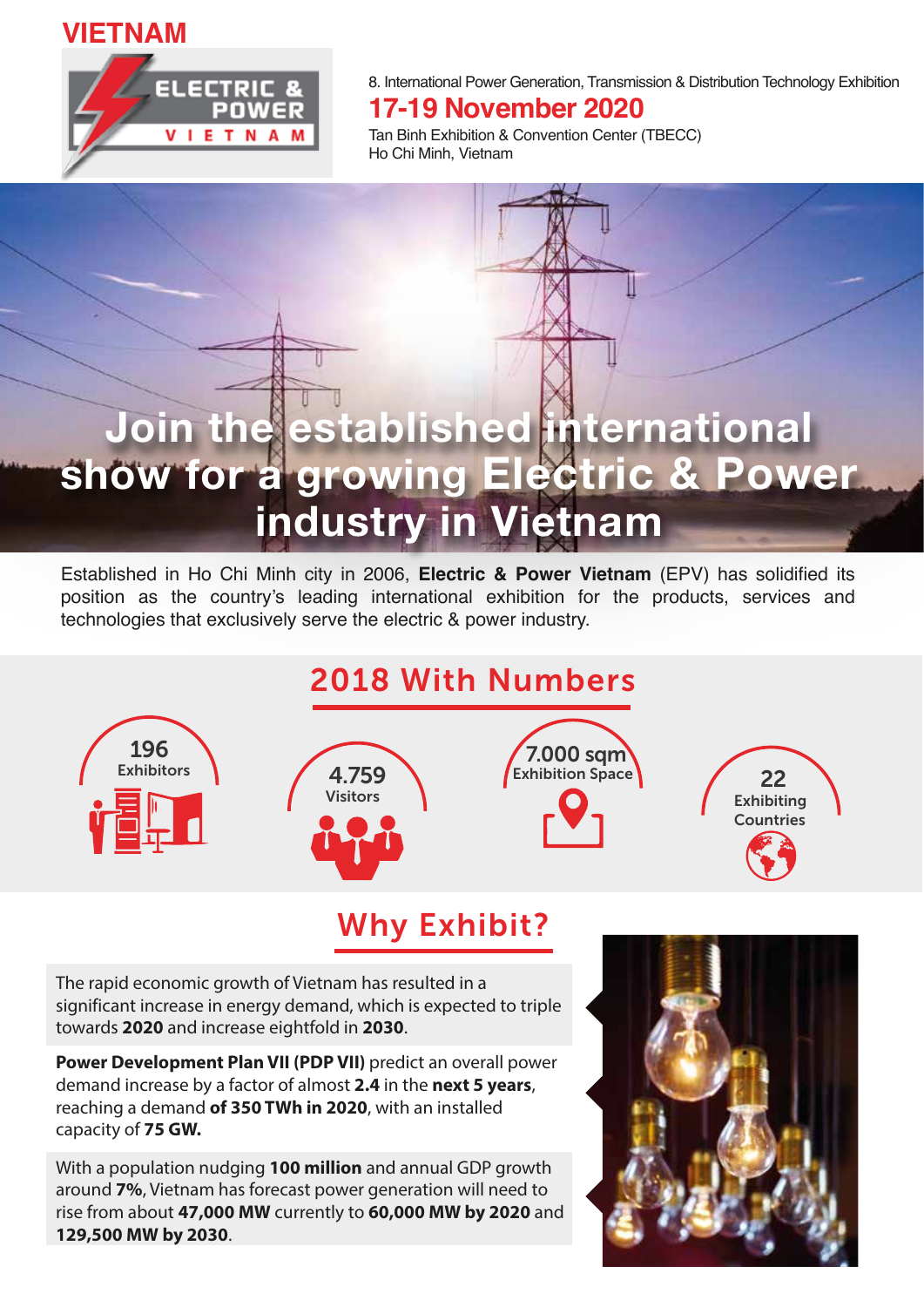#### **VIETNAM**



8. International Power Generation, Transmission & Distribution Technology Exhibition

#### **17-19 November 2020**

Tan Binh Exhibition & Convention Center (TBECC) Ho Chi Minh, Vietnam

# Join the established international show for a growing Electric & Power industry in Vietnam

Established in Ho Chi Minh city in 2006, **Electric & Power Vietnam** (EPV) has solidified its position as the country's leading international exhibition for the products, services and technologies that exclusively serve the electric & power industry.

### 2018 With Numbers









### Why Exhibit?

The rapid economic growth of Vietnam has resulted in a significant increase in energy demand, which is expected to triple towards **2020** and increase eightfold in **2030**.

**Power Development Plan VII (PDP VII)** predict an overall power demand increase by a factor of almost **2.4** in the **next 5 years**, reaching a demand **of 350 TWh in 2020**, with an installed capacity of **75 GW.**

With a population nudging **100 million** and annual GDP growth around **7%**, Vietnam has forecast power generation will need to rise from about **47,000 MW** currently to **60,000 MW by 2020** and **129,500 MW by 2030**.